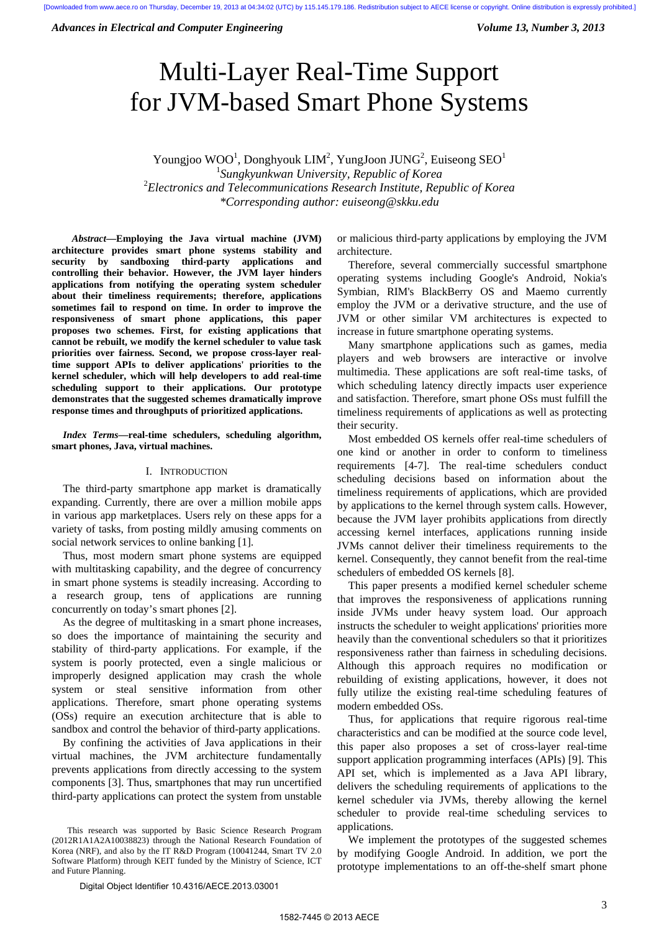*Advances in Electrical and Computer Engineering* Volume 13, Number 3, 2013

# Multi-Layer Real-Time Support for JVM-based Smart Phone Systems

Youngjoo WOO<sup>1</sup>, Donghyouk LIM<sup>2</sup>, YungJoon JUNG<sup>2</sup>, Euiseong SEO<sup>1</sup> *Sungkyunkwan University, Republic of Korea*  2 *Electronics and Telecommunications Research Institute, Republic of Korea \*Corresponding author: euiseong@skku.edu* 

*<sup>1</sup> Abstract***—Employing the Java virtual machine (JVM) architecture provides smart phone systems stability and security by sandboxing third-party applications and controlling their behavior. However, the JVM layer hinders applications from notifying the operating system scheduler about their timeliness requirements; therefore, applications sometimes fail to respond on time. In order to improve the responsiveness of smart phone applications, this paper proposes two schemes. First, for existing applications that cannot be rebuilt, we modify the kernel scheduler to value task priorities over fairness. Second, we propose cross-layer realtime support APIs to deliver applications' priorities to the kernel scheduler, which will help developers to add real-time scheduling support to their applications. Our prototype demonstrates that the suggested schemes dramatically improve response times and throughputs of prioritized applications.** 

*Index Terms***—real-time schedulers, scheduling algorithm, smart phones, Java, virtual machines.**

# I. INTRODUCTION

The third-party smartphone app market is dramatically expanding. Currently, there are over a million mobile apps in various app marketplaces. Users rely on these apps for a variety of tasks, from posting mildly amusing comments on social network services to online banking [1].

Thus, most modern smart phone systems are equipped with multitasking capability, and the degree of concurrency in smart phone systems is steadily increasing. According to a research group, tens of applications are running concurrently on today's smart phones [2].

As the degree of multitasking in a smart phone increases, so does the importance of maintaining the security and stability of third-party applications. For example, if the system is poorly protected, even a single malicious or improperly designed application may crash the whole system or steal sensitive information from other applications. Therefore, smart phone operating systems (OSs) require an execution architecture that is able to sandbox and control the behavior of third-party applications.

By confining the activities of Java applications in their virtual machines, the JVM architecture fundamentally prevents applications from directly accessing to the system components [3]. Thus, smartphones that may run uncertified third-party applications can protect the system from unstable

<sup>1</sup> This research was supported by Basic Science Research Program (2012R1A1A2A10038823) through the National Research Foundation of Korea (NRF), and also by the IT R&D Program (10041244, Smart TV 2.0 Software Platform) through KEIT funded by the Ministry of Science, ICT and Future Planning.

or malicious third-party applications by employing the JVM architecture.

Therefore, several commercially successful smartphone operating systems including Google's Android, Nokia's Symbian, RIM's BlackBerry OS and Maemo currently employ the JVM or a derivative structure, and the use of JVM or other similar VM architectures is expected to increase in future smartphone operating systems.

Many smartphone applications such as games, media players and web browsers are interactive or involve multimedia. These applications are soft real-time tasks, of which scheduling latency directly impacts user experience and satisfaction. Therefore, smart phone OSs must fulfill the timeliness requirements of applications as well as protecting their security.

Most embedded OS kernels offer real-time schedulers of one kind or another in order to conform to timeliness requirements [4-7]. The real-time schedulers conduct scheduling decisions based on information about the timeliness requirements of applications, which are provided by applications to the kernel through system calls. However, because the JVM layer prohibits applications from directly accessing kernel interfaces, applications running inside JVMs cannot deliver their timeliness requirements to the kernel. Consequently, they cannot benefit from the real-time schedulers of embedded OS kernels [8].

This paper presents a modified kernel scheduler scheme that improves the responsiveness of applications running inside JVMs under heavy system load. Our approach instructs the scheduler to weight applications' priorities more heavily than the conventional schedulers so that it prioritizes responsiveness rather than fairness in scheduling decisions. Although this approach requires no modification or rebuilding of existing applications, however, it does not fully utilize the existing real-time scheduling features of modern embedded OSs.

Thus, for applications that require rigorous real-time characteristics and can be modified at the source code level, this paper also proposes a set of cross-layer real-time support application programming interfaces (APIs) [9]. This API set, which is implemented as a Java API library, delivers the scheduling requirements of applications to the kernel scheduler via JVMs, thereby allowing the kernel scheduler to provide real-time scheduling services to applications.

We implement the prototypes of the suggested schemes by modifying Google Android. In addition, we port the prototype implementations to an off-the-shelf smart phone

Digital Object Identifier 10.4316/AECE.2013.03001<br>1582-7445 © 2013 AFCE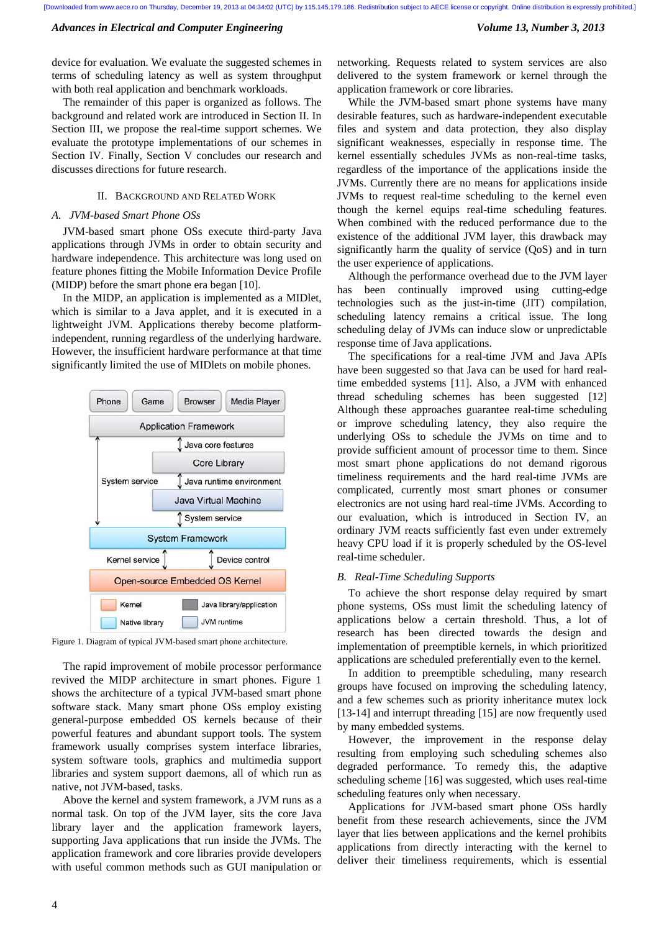device for evaluation. We evaluate the suggested schemes in terms of scheduling latency as well as system throughput with both real application and benchmark workloads.

The remainder of this paper is organized as follows. The background and related work are introduced in Section II. In Section III, we propose the real-time support schemes. We evaluate the prototype implementations of our schemes in Section IV. Finally, Section V concludes our research and discusses directions for future research.

# II. BACKGROUND AND RELATED WORK

# *A. JVM-based Smart Phone OSs*

JVM-based smart phone OSs execute third-party Java applications through JVMs in order to obtain security and hardware independence. This architecture was long used on feature phones fitting the Mobile Information Device Profile (MIDP) before the smart phone era began [10].

In the MIDP, an application is implemented as a MIDlet, which is similar to a Java applet, and it is executed in a lightweight JVM. Applications thereby become platformindependent, running regardless of the underlying hardware. However, the insufficient hardware performance at that time significantly limited the use of MIDlets on mobile phones.



Figure 1. Diagram of typical JVM-based smart phone architecture.

The rapid improvement of mobile processor performance revived the MIDP architecture in smart phones. Figure 1 shows the architecture of a typical JVM-based smart phone software stack. Many smart phone OSs employ existing general-purpose embedded OS kernels because of their powerful features and abundant support tools. The system framework usually comprises system interface libraries, system software tools, graphics and multimedia support libraries and system support daemons, all of which run as native, not JVM-based, tasks.

Above the kernel and system framework, a JVM runs as a normal task. On top of the JVM layer, sits the core Java library layer and the application framework layers, supporting Java applications that run inside the JVMs. The application framework and core libraries provide developers with useful common methods such as GUI manipulation or networking. Requests related to system services are also delivered to the system framework or kernel through the application framework or core libraries.

While the JVM-based smart phone systems have many desirable features, such as hardware-independent executable files and system and data protection, they also display significant weaknesses, especially in response time. The kernel essentially schedules JVMs as non-real-time tasks, regardless of the importance of the applications inside the JVMs. Currently there are no means for applications inside JVMs to request real-time scheduling to the kernel even though the kernel equips real-time scheduling features. When combined with the reduced performance due to the existence of the additional JVM layer, this drawback may significantly harm the quality of service (QoS) and in turn the user experience of applications.

Although the performance overhead due to the JVM layer has been continually improved using cutting-edge technologies such as the just-in-time (JIT) compilation, scheduling latency remains a critical issue. The long scheduling delay of JVMs can induce slow or unpredictable response time of Java applications.

The specifications for a real-time JVM and Java APIs have been suggested so that Java can be used for hard realtime embedded systems [11]. Also, a JVM with enhanced thread scheduling schemes has been suggested [12] Although these approaches guarantee real-time scheduling or improve scheduling latency, they also require the underlying OSs to schedule the JVMs on time and to provide sufficient amount of processor time to them. Since most smart phone applications do not demand rigorous timeliness requirements and the hard real-time JVMs are complicated, currently most smart phones or consumer electronics are not using hard real-time JVMs. According to our evaluation, which is introduced in Section IV, an ordinary JVM reacts sufficiently fast even under extremely heavy CPU load if it is properly scheduled by the OS-level real-time scheduler.

# *B. Real-Time Scheduling Supports*

To achieve the short response delay required by smart phone systems, OSs must limit the scheduling latency of applications below a certain threshold. Thus, a lot of research has been directed towards the design and implementation of preemptible kernels, in which prioritized applications are scheduled preferentially even to the kernel.

In addition to preemptible scheduling, many research groups have focused on improving the scheduling latency, and a few schemes such as priority inheritance mutex lock [13-14] and interrupt threading [15] are now frequently used by many embedded systems.

However, the improvement in the response delay resulting from employing such scheduling schemes also degraded performance. To remedy this, the adaptive scheduling scheme [16] was suggested, which uses real-time scheduling features only when necessary.

Applications for JVM-based smart phone OSs hardly benefit from these research achievements, since the JVM layer that lies between applications and the kernel prohibits applications from directly interacting with the kernel to deliver their timeliness requirements, which is essential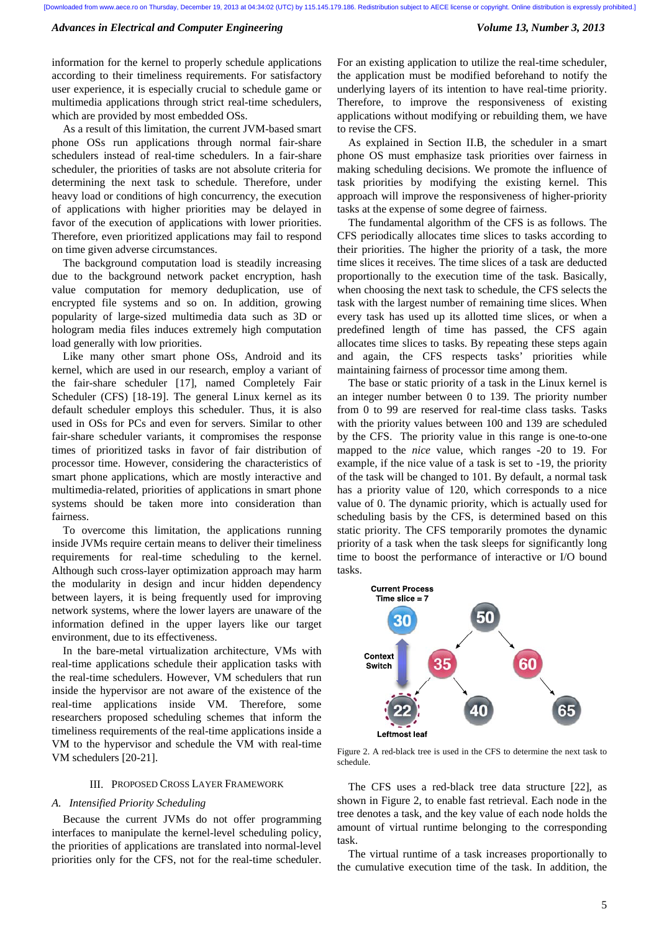information for the kernel to properly schedule applications according to their timeliness requirements. For satisfactory user experience, it is especially crucial to schedule game or multimedia applications through strict real-time schedulers, which are provided by most embedded OSs.

As a result of this limitation, the current JVM-based smart phone OSs run applications through normal fair-share schedulers instead of real-time schedulers. In a fair-share scheduler, the priorities of tasks are not absolute criteria for determining the next task to schedule. Therefore, under heavy load or conditions of high concurrency, the execution of applications with higher priorities may be delayed in favor of the execution of applications with lower priorities. Therefore, even prioritized applications may fail to respond on time given adverse circumstances.

The background computation load is steadily increasing due to the background network packet encryption, hash value computation for memory deduplication, use of encrypted file systems and so on. In addition, growing popularity of large-sized multimedia data such as 3D or hologram media files induces extremely high computation load generally with low priorities.

Like many other smart phone OSs, Android and its kernel, which are used in our research, employ a variant of the fair-share scheduler [17], named Completely Fair Scheduler (CFS) [18-19]. The general Linux kernel as its default scheduler employs this scheduler. Thus, it is also used in OSs for PCs and even for servers. Similar to other fair-share scheduler variants, it compromises the response times of prioritized tasks in favor of fair distribution of processor time. However, considering the characteristics of smart phone applications, which are mostly interactive and multimedia-related, priorities of applications in smart phone systems should be taken more into consideration than fairness.

To overcome this limitation, the applications running inside JVMs require certain means to deliver their timeliness requirements for real-time scheduling to the kernel. Although such cross-layer optimization approach may harm the modularity in design and incur hidden dependency between layers, it is being frequently used for improving network systems, where the lower layers are unaware of the information defined in the upper layers like our target environment, due to its effectiveness.

In the bare-metal virtualization architecture, VMs with real-time applications schedule their application tasks with the real-time schedulers. However, VM schedulers that run inside the hypervisor are not aware of the existence of the real-time applications inside VM. Therefore, some researchers proposed scheduling schemes that inform the timeliness requirements of the real-time applications inside a VM to the hypervisor and schedule the VM with real-time VM schedulers [20-21].

# III. PROPOSED CROSS LAYER FRAMEWORK

# *A. Intensified Priority Scheduling*

Because the current JVMs do not offer programming interfaces to manipulate the kernel-level scheduling policy, the priorities of applications are translated into normal-level priorities only for the CFS, not for the real-time scheduler. For an existing application to utilize the real-time scheduler, the application must be modified beforehand to notify the underlying layers of its intention to have real-time priority. Therefore, to improve the responsiveness of existing applications without modifying or rebuilding them, we have to revise the CFS.

As explained in Section II.B, the scheduler in a smart phone OS must emphasize task priorities over fairness in making scheduling decisions. We promote the influence of task priorities by modifying the existing kernel. This approach will improve the responsiveness of higher-priority tasks at the expense of some degree of fairness.

The fundamental algorithm of the CFS is as follows. The CFS periodically allocates time slices to tasks according to their priorities. The higher the priority of a task, the more time slices it receives. The time slices of a task are deducted proportionally to the execution time of the task. Basically, when choosing the next task to schedule, the CFS selects the task with the largest number of remaining time slices. When every task has used up its allotted time slices, or when a predefined length of time has passed, the CFS again allocates time slices to tasks. By repeating these steps again and again, the CFS respects tasks' priorities while maintaining fairness of processor time among them.

The base or static priority of a task in the Linux kernel is an integer number between 0 to 139. The priority number from 0 to 99 are reserved for real-time class tasks. Tasks with the priority values between 100 and 139 are scheduled by the CFS. The priority value in this range is one-to-one mapped to the *nice* value, which ranges -20 to 19. For example, if the nice value of a task is set to -19, the priority of the task will be changed to 101. By default, a normal task has a priority value of 120, which corresponds to a nice value of 0. The dynamic priority, which is actually used for scheduling basis by the CFS, is determined based on this static priority. The CFS temporarily promotes the dynamic priority of a task when the task sleeps for significantly long time to boost the performance of interactive or I/O bound tasks.



Figure 2. A red-black tree is used in the CFS to determine the next task to schedule.

The CFS uses a red-black tree data structure [22], as shown in Figure 2, to enable fast retrieval. Each node in the tree denotes a task, and the key value of each node holds the amount of virtual runtime belonging to the corresponding task.

The virtual runtime of a task increases proportionally to the cumulative execution time of the task. In addition, the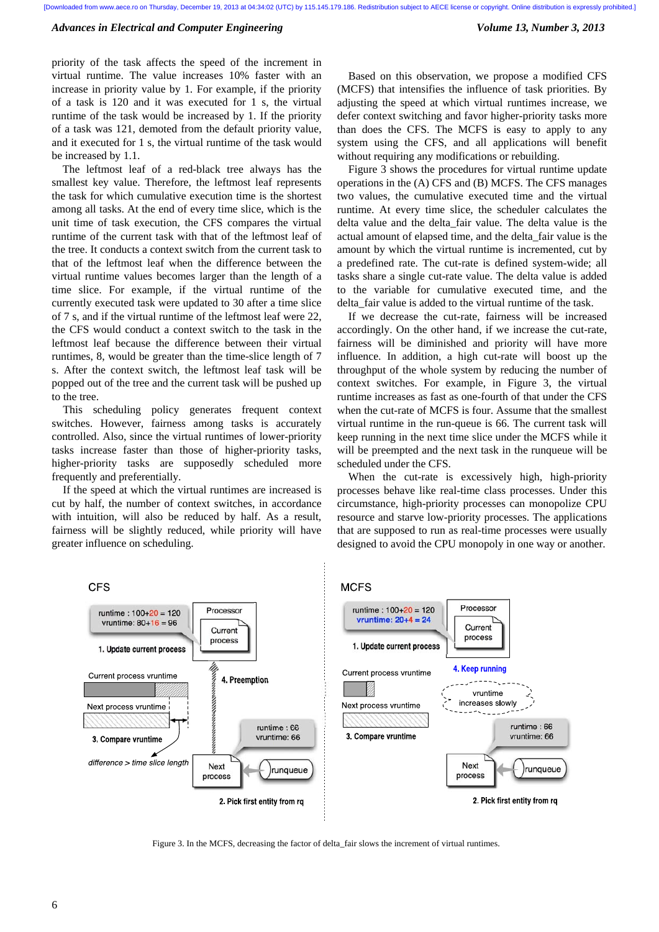priority of the task affects the speed of the increment in virtual runtime. The value increases 10% faster with an increase in priority value by 1. For example, if the priority of a task is 120 and it was executed for 1 s, the virtual runtime of the task would be increased by 1. If the priority of a task was 121, demoted from the default priority value, and it executed for 1 s, the virtual runtime of the task would be increased by 1.1.

The leftmost leaf of a red-black tree always has the smallest key value. Therefore, the leftmost leaf represents the task for which cumulative execution time is the shortest among all tasks. At the end of every time slice, which is the unit time of task execution, the CFS compares the virtual runtime of the current task with that of the leftmost leaf of the tree. It conducts a context switch from the current task to that of the leftmost leaf when the difference between the virtual runtime values becomes larger than the length of a time slice. For example, if the virtual runtime of the currently executed task were updated to 30 after a time slice of 7 s, and if the virtual runtime of the leftmost leaf were 22, the CFS would conduct a context switch to the task in the leftmost leaf because the difference between their virtual runtimes, 8, would be greater than the time-slice length of 7 s. After the context switch, the leftmost leaf task will be popped out of the tree and the current task will be pushed up to the tree.

This scheduling policy generates frequent context switches. However, fairness among tasks is accurately controlled. Also, since the virtual runtimes of lower-priority tasks increase faster than those of higher-priority tasks, higher-priority tasks are supposedly scheduled more frequently and preferentially.

If the speed at which the virtual runtimes are increased is cut by half, the number of context switches, in accordance with intuition, will also be reduced by half. As a result, fairness will be slightly reduced, while priority will have greater influence on scheduling.

Based on this observation, we propose a modified CFS (MCFS) that intensifies the influence of task priorities. By adjusting the speed at which virtual runtimes increase, we defer context switching and favor higher-priority tasks more than does the CFS. The MCFS is easy to apply to any system using the CFS, and all applications will benefit without requiring any modifications or rebuilding.

Figure 3 shows the procedures for virtual runtime update operations in the (A) CFS and (B) MCFS. The CFS manages two values, the cumulative executed time and the virtual runtime. At every time slice, the scheduler calculates the delta value and the delta\_fair value. The delta value is the actual amount of elapsed time, and the delta\_fair value is the amount by which the virtual runtime is incremented, cut by a predefined rate. The cut-rate is defined system-wide; all tasks share a single cut-rate value. The delta value is added to the variable for cumulative executed time, and the delta\_fair value is added to the virtual runtime of the task.

If we decrease the cut-rate, fairness will be increased accordingly. On the other hand, if we increase the cut-rate, fairness will be diminished and priority will have more influence. In addition, a high cut-rate will boost up the throughput of the whole system by reducing the number of context switches. For example, in Figure 3, the virtual runtime increases as fast as one-fourth of that under the CFS when the cut-rate of MCFS is four. Assume that the smallest virtual runtime in the run-queue is 66. The current task will keep running in the next time slice under the MCFS while it will be preempted and the next task in the runqueue will be scheduled under the CFS.

When the cut-rate is excessively high, high-priority processes behave like real-time class processes. Under this circumstance, high-priority processes can monopolize CPU resource and starve low-priority processes. The applications that are supposed to run as real-time processes were usually designed to avoid the CPU monopoly in one way or another.





Figure 3. In the MCFS, decreasing the factor of delta\_fair slows the increment of virtual runtimes.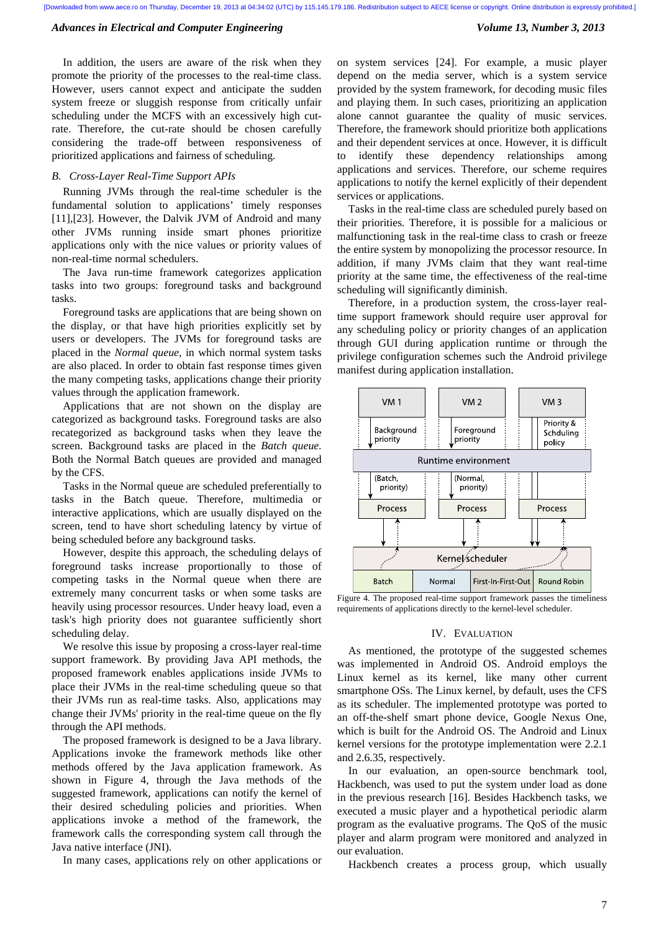In addition, the users are aware of the risk when they promote the priority of the processes to the real-time class. However, users cannot expect and anticipate the sudden system freeze or sluggish response from critically unfair scheduling under the MCFS with an excessively high cutrate. Therefore, the cut-rate should be chosen carefully considering the trade-off between responsiveness of prioritized applications and fairness of scheduling.

# *B. Cross-Layer Real-Time Support APIs*

Running JVMs through the real-time scheduler is the fundamental solution to applications' timely responses [11],[23]. However, the Dalvik JVM of Android and many other JVMs running inside smart phones prioritize applications only with the nice values or priority values of non-real-time normal schedulers.

The Java run-time framework categorizes application tasks into two groups: foreground tasks and background tasks.

Foreground tasks are applications that are being shown on the display, or that have high priorities explicitly set by users or developers. The JVMs for foreground tasks are placed in the *Normal queue*, in which normal system tasks are also placed. In order to obtain fast response times given the many competing tasks, applications change their priority values through the application framework.

Applications that are not shown on the display are categorized as background tasks. Foreground tasks are also recategorized as background tasks when they leave the screen. Background tasks are placed in the *Batch queue*. Both the Normal Batch queues are provided and managed by the CFS.

Tasks in the Normal queue are scheduled preferentially to tasks in the Batch queue. Therefore, multimedia or interactive applications, which are usually displayed on the screen, tend to have short scheduling latency by virtue of being scheduled before any background tasks.

However, despite this approach, the scheduling delays of foreground tasks increase proportionally to those of competing tasks in the Normal queue when there are extremely many concurrent tasks or when some tasks are heavily using processor resources. Under heavy load, even a task's high priority does not guarantee sufficiently short scheduling delay.

We resolve this issue by proposing a cross-layer real-time support framework. By providing Java API methods, the proposed framework enables applications inside JVMs to place their JVMs in the real-time scheduling queue so that their JVMs run as real-time tasks. Also, applications may change their JVMs' priority in the real-time queue on the fly through the API methods.

The proposed framework is designed to be a Java library. Applications invoke the framework methods like other methods offered by the Java application framework. As shown in Figure 4, through the Java methods of the suggested framework, applications can notify the kernel of their desired scheduling policies and priorities. When applications invoke a method of the framework, the framework calls the corresponding system call through the Java native interface (JNI).

In many cases, applications rely on other applications or

on system services [24]. For example, a music player depend on the media server, which is a system service provided by the system framework, for decoding music files and playing them. In such cases, prioritizing an application alone cannot guarantee the quality of music services. Therefore, the framework should prioritize both applications and their dependent services at once. However, it is difficult to identify these dependency relationships among applications and services. Therefore, our scheme requires applications to notify the kernel explicitly of their dependent services or applications.

Tasks in the real-time class are scheduled purely based on their priorities. Therefore, it is possible for a malicious or malfunctioning task in the real-time class to crash or freeze the entire system by monopolizing the processor resource. In addition, if many JVMs claim that they want real-time priority at the same time, the effectiveness of the real-time scheduling will significantly diminish.

Therefore, in a production system, the cross-layer realtime support framework should require user approval for any scheduling policy or priority changes of an application through GUI during application runtime or through the privilege configuration schemes such the Android privilege manifest during application installation.



Figure 4. The proposed real-time support framework passes the timeliness requirements of applications directly to the kernel-level scheduler.

## IV. EVALUATION

As mentioned, the prototype of the suggested schemes was implemented in Android OS. Android employs the Linux kernel as its kernel, like many other current smartphone OSs. The Linux kernel, by default, uses the CFS as its scheduler. The implemented prototype was ported to an off-the-shelf smart phone device, Google Nexus One, which is built for the Android OS. The Android and Linux kernel versions for the prototype implementation were 2.2.1 and 2.6.35, respectively.

In our evaluation, an open-source benchmark tool, Hackbench, was used to put the system under load as done in the previous research [16]. Besides Hackbench tasks, we executed a music player and a hypothetical periodic alarm program as the evaluative programs. The QoS of the music player and alarm program were monitored and analyzed in our evaluation.

Hackbench creates a process group, which usually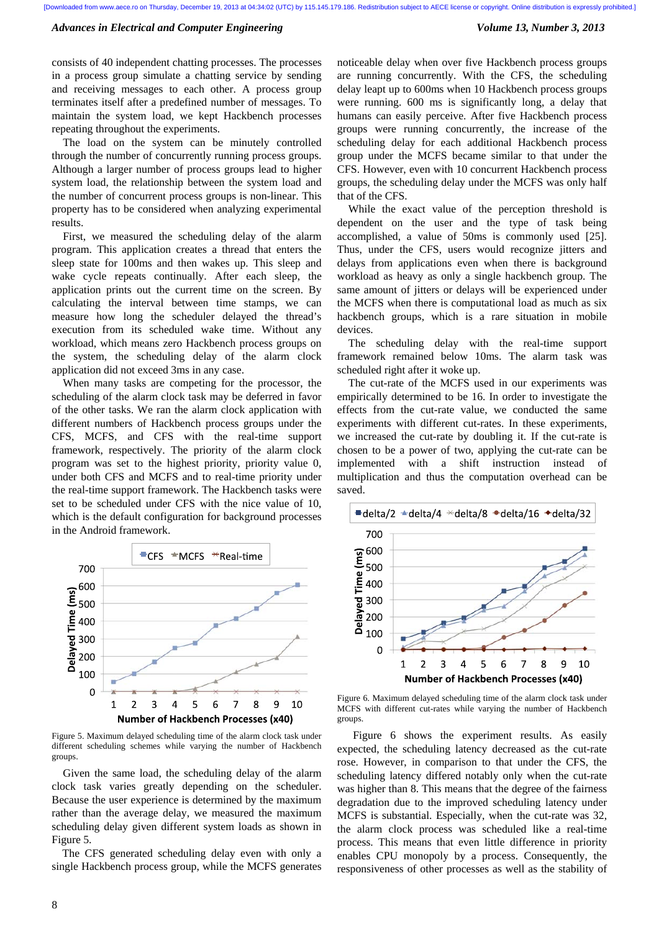consists of 40 independent chatting processes. The processes in a process group simulate a chatting service by sending and receiving messages to each other. A process group terminates itself after a predefined number of messages. To maintain the system load, we kept Hackbench processes repeating throughout the experiments.

The load on the system can be minutely controlled through the number of concurrently running process groups. Although a larger number of process groups lead to higher system load, the relationship between the system load and the number of concurrent process groups is non-linear. This property has to be considered when analyzing experimental results.

First, we measured the scheduling delay of the alarm program. This application creates a thread that enters the sleep state for 100ms and then wakes up. This sleep and wake cycle repeats continually. After each sleep, the application prints out the current time on the screen. By calculating the interval between time stamps, we can measure how long the scheduler delayed the thread's execution from its scheduled wake time. Without any workload, which means zero Hackbench process groups on the system, the scheduling delay of the alarm clock application did not exceed 3ms in any case.

When many tasks are competing for the processor, the scheduling of the alarm clock task may be deferred in favor of the other tasks. We ran the alarm clock application with different numbers of Hackbench process groups under the CFS, MCFS, and CFS with the real-time support framework, respectively. The priority of the alarm clock program was set to the highest priority, priority value 0, under both CFS and MCFS and to real-time priority under the real-time support framework. The Hackbench tasks were set to be scheduled under CFS with the nice value of 10, which is the default configuration for background processes in the Android framework.



Figure 5. Maximum delayed scheduling time of the alarm clock task under different scheduling schemes while varying the number of Hackbench groups.

Given the same load, the scheduling delay of the alarm clock task varies greatly depending on the scheduler. Because the user experience is determined by the maximum rather than the average delay, we measured the maximum scheduling delay given different system loads as shown in Figure 5.

The CFS generated scheduling delay even with only a single Hackbench process group, while the MCFS generates noticeable delay when over five Hackbench process groups are running concurrently. With the CFS, the scheduling delay leapt up to 600ms when 10 Hackbench process groups were running. 600 ms is significantly long, a delay that humans can easily perceive. After five Hackbench process groups were running concurrently, the increase of the scheduling delay for each additional Hackbench process group under the MCFS became similar to that under the CFS. However, even with 10 concurrent Hackbench process groups, the scheduling delay under the MCFS was only half that of the CFS.

While the exact value of the perception threshold is dependent on the user and the type of task being accomplished, a value of 50ms is commonly used [25]. Thus, under the CFS, users would recognize jitters and delays from applications even when there is background workload as heavy as only a single hackbench group. The same amount of jitters or delays will be experienced under the MCFS when there is computational load as much as six hackbench groups, which is a rare situation in mobile devices.

The scheduling delay with the real-time support framework remained below 10ms. The alarm task was scheduled right after it woke up.

The cut-rate of the MCFS used in our experiments was empirically determined to be 16. In order to investigate the effects from the cut-rate value, we conducted the same experiments with different cut-rates. In these experiments, we increased the cut-rate by doubling it. If the cut-rate is chosen to be a power of two, applying the cut-rate can be implemented with a shift instruction instead of multiplication and thus the computation overhead can be saved.



Figure 6. Maximum delayed scheduling time of the alarm clock task under MCFS with different cut-rates while varying the number of Hackbench groups.

Figure 6 shows the experiment results. As easily expected, the scheduling latency decreased as the cut-rate rose. However, in comparison to that under the CFS, the scheduling latency differed notably only when the cut-rate was higher than 8. This means that the degree of the fairness degradation due to the improved scheduling latency under MCFS is substantial. Especially, when the cut-rate was 32, the alarm clock process was scheduled like a real-time process. This means that even little difference in priority enables CPU monopoly by a process. Consequently, the responsiveness of other processes as well as the stability of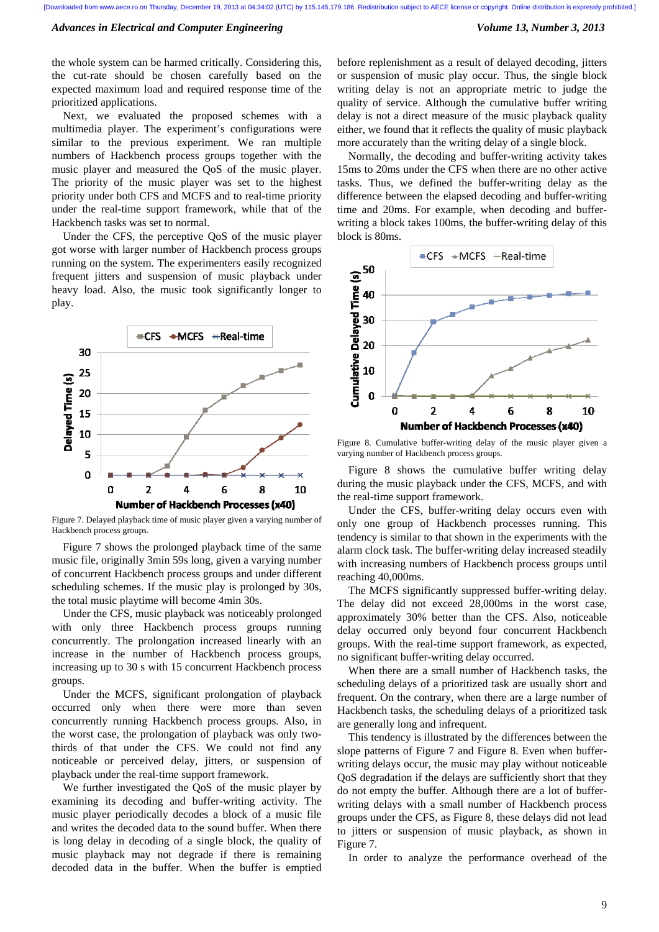the whole system can be harmed critically. Considering this, the cut-rate should be chosen carefully based on the expected maximum load and required response time of the prioritized applications.

Next, we evaluated the proposed schemes with a multimedia player. The experiment's configurations were similar to the previous experiment. We ran multiple numbers of Hackbench process groups together with the music player and measured the QoS of the music player. The priority of the music player was set to the highest priority under both CFS and MCFS and to real-time priority under the real-time support framework, while that of the Hackbench tasks was set to normal.

Under the CFS, the perceptive QoS of the music player got worse with larger number of Hackbench process groups running on the system. The experimenters easily recognized frequent jitters and suspension of music playback under heavy load. Also, the music took significantly longer to play.



Figure 7. Delayed playback time of music player given a varying number of Hackbench process groups.

Figure 7 shows the prolonged playback time of the same music file, originally 3min 59s long, given a varying number of concurrent Hackbench process groups and under different scheduling schemes. If the music play is prolonged by 30s, the total music playtime will become 4min 30s.

Under the CFS, music playback was noticeably prolonged with only three Hackbench process groups running concurrently. The prolongation increased linearly with an increase in the number of Hackbench process groups, increasing up to 30 s with 15 concurrent Hackbench process groups.

Under the MCFS, significant prolongation of playback occurred only when there were more than seven concurrently running Hackbench process groups. Also, in the worst case, the prolongation of playback was only twothirds of that under the CFS. We could not find any noticeable or perceived delay, jitters, or suspension of playback under the real-time support framework.

We further investigated the QoS of the music player by examining its decoding and buffer-writing activity. The music player periodically decodes a block of a music file and writes the decoded data to the sound buffer. When there is long delay in decoding of a single block, the quality of music playback may not degrade if there is remaining decoded data in the buffer. When the buffer is emptied before replenishment as a result of delayed decoding, jitters or suspension of music play occur. Thus, the single block writing delay is not an appropriate metric to judge the quality of service. Although the cumulative buffer writing delay is not a direct measure of the music playback quality either, we found that it reflects the quality of music playback more accurately than the writing delay of a single block.

Normally, the decoding and buffer-writing activity takes 15ms to 20ms under the CFS when there are no other active tasks. Thus, we defined the buffer-writing delay as the difference between the elapsed decoding and buffer-writing time and 20ms. For example, when decoding and bufferwriting a block takes 100ms, the buffer-writing delay of this block is 80ms.



Figure 8. Cumulative buffer-writing delay of the music player given a varying number of Hackbench process groups.

Figure 8 shows the cumulative buffer writing delay during the music playback under the CFS, MCFS, and with the real-time support framework.

Under the CFS, buffer-writing delay occurs even with only one group of Hackbench processes running. This tendency is similar to that shown in the experiments with the alarm clock task. The buffer-writing delay increased steadily with increasing numbers of Hackbench process groups until reaching 40,000ms.

The MCFS significantly suppressed buffer-writing delay. The delay did not exceed 28,000ms in the worst case, approximately 30% better than the CFS. Also, noticeable delay occurred only beyond four concurrent Hackbench groups. With the real-time support framework, as expected, no significant buffer-writing delay occurred.

When there are a small number of Hackbench tasks, the scheduling delays of a prioritized task are usually short and frequent. On the contrary, when there are a large number of Hackbench tasks, the scheduling delays of a prioritized task are generally long and infrequent.

This tendency is illustrated by the differences between the slope patterns of Figure 7 and Figure 8. Even when bufferwriting delays occur, the music may play without noticeable QoS degradation if the delays are sufficiently short that they do not empty the buffer. Although there are a lot of bufferwriting delays with a small number of Hackbench process groups under the CFS, as Figure 8, these delays did not lead to jitters or suspension of music playback, as shown in Figure 7.

In order to analyze the performance overhead of the